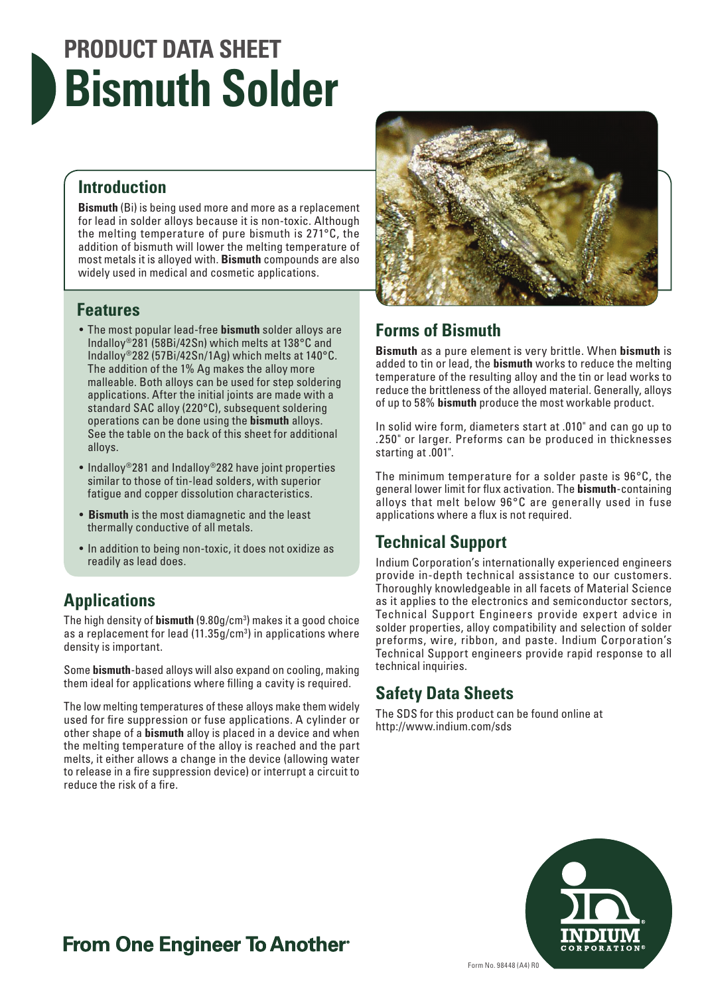# **PRODUCT DATA SHEET Bismuth Solder**

#### **Introduction**

**Bismuth** (Bi) is being used more and more as a replacement for lead in solder alloys because it is non-toxic. Although the melting temperature of pure bismuth is 271°C, the addition of bismuth will lower the melting temperature of most metals it is alloyed with. **Bismuth** compounds are also widely used in medical and cosmetic applications.

#### **Features**

- The most popular lead-free **bismuth** solder alloys are Indalloy®281 (58Bi/42Sn) which melts at 138°C and Indalloy®282 (57Bi/42Sn/1Ag) which melts at 140°C. The addition of the 1% Ag makes the alloy more malleable. Both alloys can be used for step soldering applications. After the initial joints are made with a standard SAC alloy (220°C), subsequent soldering operations can be done using the **bismuth** alloys. See the table on the back of this sheet for additional alloys.
- Indalloy®281 and Indalloy®282 have joint properties similar to those of tin-lead solders, with superior fatigue and copper dissolution characteristics.
- **Bismuth** is the most diamagnetic and the least thermally conductive of all metals.
- In addition to being non-toxic, it does not oxidize as readily as lead does.

#### **Applications**

The high density of **bismuth** (9.80g/cm3 ) makes it a good choice as a replacement for lead (11.35g/cm<sup>3</sup>) in applications where density is important.

Some **bismuth**-based alloys will also expand on cooling, making them ideal for applications where filling a cavity is required.

The low melting temperatures of these alloys make them widely used for fire suppression or fuse applications. A cylinder or other shape of a **bismuth** alloy is placed in a device and when the melting temperature of the alloy is reached and the part melts, it either allows a change in the device (allowing water to release in a fire suppression device) or interrupt a circuit to reduce the risk of a fire.



#### **Forms of Bismuth**

**Bismuth** as a pure element is very brittle. When **bismuth** is added to tin or lead, the **bismuth** works to reduce the melting temperature of the resulting alloy and the tin or lead works to reduce the brittleness of the alloyed material. Generally, alloys of up to 58% **bismuth** produce the most workable product.

In solid wire form, diameters start at .010" and can go up to .250" or larger. Preforms can be produced in thicknesses starting at .001".

The minimum temperature for a solder paste is 96°C, the general lower limit for flux activation. The **bismuth**-containing alloys that melt below 96°C are generally used in fuse applications where a flux is not required.

#### **Technical Support**

Indium Corporation's internationally experienced engineers provide in-depth technical assistance to our customers. Thoroughly knowledgeable in all facets of Material Science as it applies to the electronics and semiconductor sectors, Technical Support Engineers provide expert advice in solder properties, alloy compatibility and selection of solder preforms, wire, ribbon, and paste. Indium Corporation's Technical Support engineers provide rapid response to all technical inquiries.

#### **Safety Data Sheets**

The SDS for this product can be found online at http://www.indium.com/sds



### **From One Engineer To Another**